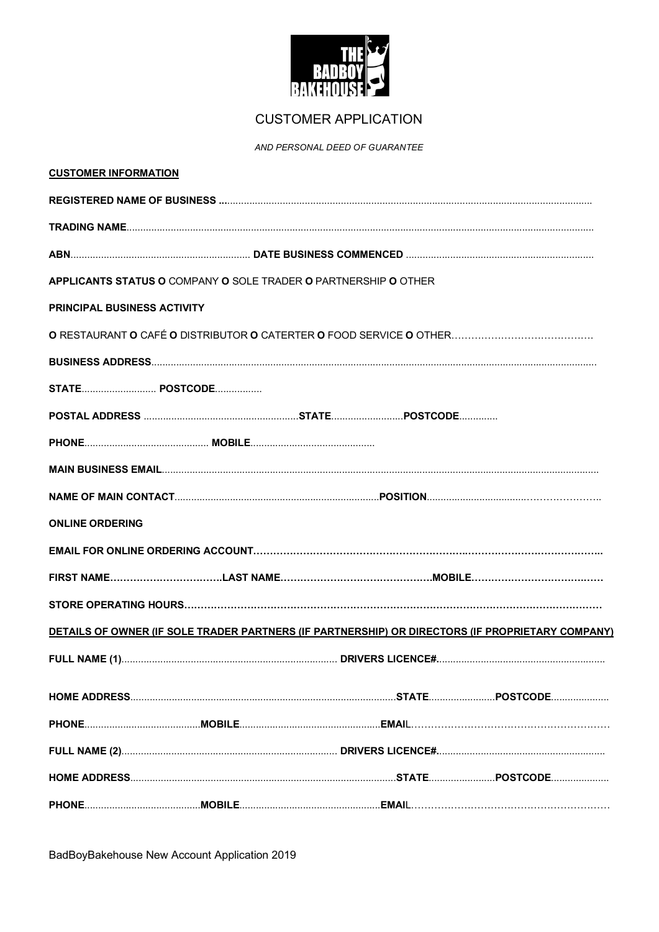

## **CUSTOMER APPLICATION**

AND PERSONAL DEED OF GUARANTEE

| <b>CUSTOMER INFORMATION</b>                                                                      |                                                                 |  |  |  |  |  |  |
|--------------------------------------------------------------------------------------------------|-----------------------------------------------------------------|--|--|--|--|--|--|
|                                                                                                  |                                                                 |  |  |  |  |  |  |
|                                                                                                  |                                                                 |  |  |  |  |  |  |
|                                                                                                  |                                                                 |  |  |  |  |  |  |
|                                                                                                  | APPLICANTS STATUS O COMPANY O SOLE TRADER O PARTNERSHIP O OTHER |  |  |  |  |  |  |
| <b>PRINCIPAL BUSINESS ACTIVITY</b>                                                               |                                                                 |  |  |  |  |  |  |
|                                                                                                  |                                                                 |  |  |  |  |  |  |
|                                                                                                  |                                                                 |  |  |  |  |  |  |
|                                                                                                  |                                                                 |  |  |  |  |  |  |
|                                                                                                  |                                                                 |  |  |  |  |  |  |
|                                                                                                  |                                                                 |  |  |  |  |  |  |
|                                                                                                  |                                                                 |  |  |  |  |  |  |
|                                                                                                  |                                                                 |  |  |  |  |  |  |
| <b>ONLINE ORDERING</b>                                                                           |                                                                 |  |  |  |  |  |  |
|                                                                                                  |                                                                 |  |  |  |  |  |  |
|                                                                                                  |                                                                 |  |  |  |  |  |  |
|                                                                                                  |                                                                 |  |  |  |  |  |  |
| DETAILS OF OWNER (IF SOLE TRADER PARTNERS (IF PARTNERSHIP) OR DIRECTORS (IF PROPRIETARY COMPANY) |                                                                 |  |  |  |  |  |  |
|                                                                                                  |                                                                 |  |  |  |  |  |  |
|                                                                                                  |                                                                 |  |  |  |  |  |  |
|                                                                                                  |                                                                 |  |  |  |  |  |  |
|                                                                                                  |                                                                 |  |  |  |  |  |  |
|                                                                                                  |                                                                 |  |  |  |  |  |  |
|                                                                                                  |                                                                 |  |  |  |  |  |  |
|                                                                                                  |                                                                 |  |  |  |  |  |  |

BadBoyBakehouse New Account Application 2019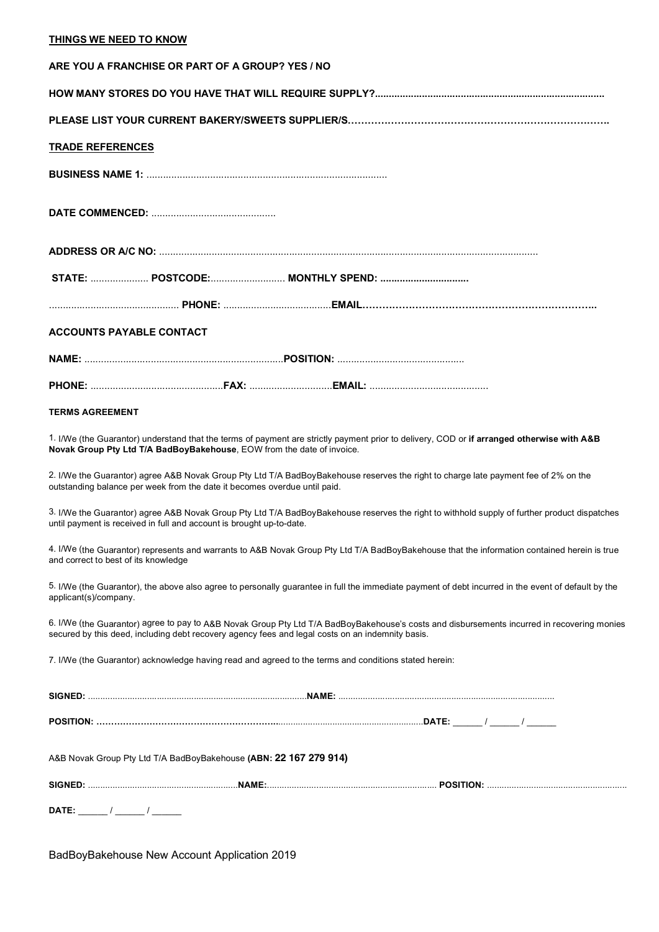## **THINGS WE NEED TO KNOW**

| ARE YOU A FRANCHISE OR PART OF A GROUP? YES / NO                                                                                                                                                                                                |
|-------------------------------------------------------------------------------------------------------------------------------------------------------------------------------------------------------------------------------------------------|
|                                                                                                                                                                                                                                                 |
|                                                                                                                                                                                                                                                 |
| <b>TRADE REFERENCES</b>                                                                                                                                                                                                                         |
|                                                                                                                                                                                                                                                 |
|                                                                                                                                                                                                                                                 |
|                                                                                                                                                                                                                                                 |
| STATE:  POSTCODE: MONTHLY SPEND:                                                                                                                                                                                                                |
|                                                                                                                                                                                                                                                 |
| <b>ACCOUNTS PAYABLE CONTACT</b>                                                                                                                                                                                                                 |
|                                                                                                                                                                                                                                                 |
|                                                                                                                                                                                                                                                 |
| <b>TERMS AGREEMENT</b>                                                                                                                                                                                                                          |
| 1. I/We (the Guarantor) understand that the terms of payment are strictly payment prior to delivery, COD or if arranged otherwise with A&B<br>Novak Group Pty Ltd T/A BadBoyBakehouse, EOW from the date of invoice.                            |
| 2. I/We the Guarantor) agree A&B Novak Group Pty Ltd T/A BadBoyBakehouse reserves the right to charge late payment fee of 2% on the<br>outstanding balance per week from the date it becomes overdue until paid.                                |
| 3. I/We the Guarantor) agree A&B Novak Group Pty Ltd T/A BadBoyBakehouse reserves the right to withhold supply of further product dispatches<br>until payment is received in full and account is brought up-to-date.                            |
| 4. I/We (the Guarantor) represents and warrants to A&B Novak Group Pty Ltd T/A BadBoyBakehouse that the information contained herein is true<br>and correct to best of its knowledge                                                            |
| 5. I/We (the Guarantor), the above also agree to personally guarantee in full the immediate payment of debt incurred in the event of default by the<br>applicant(s)/company.                                                                    |
| 6. I/We (the Guarantor) agree to pay to A&B Novak Group Pty Ltd T/A BadBoyBakehouse's costs and disbursements incurred in recovering monies<br>secured by this deed, including debt recovery agency fees and legal costs on an indemnity basis. |
| 7. I/We (the Guarantor) acknowledge having read and agreed to the terms and conditions stated herein:                                                                                                                                           |
|                                                                                                                                                                                                                                                 |
|                                                                                                                                                                                                                                                 |
| A&B Novak Group Pty Ltd T/A BadBoyBakehouse (ABN: 22 167 279 914)                                                                                                                                                                               |
|                                                                                                                                                                                                                                                 |
| DATE: ________ / _______ / ________                                                                                                                                                                                                             |

BadBoyBakehouse New Account Application 2019